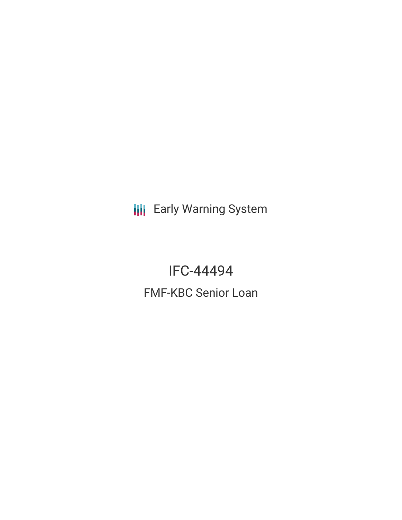**III** Early Warning System

IFC-44494 FMF-KBC Senior Loan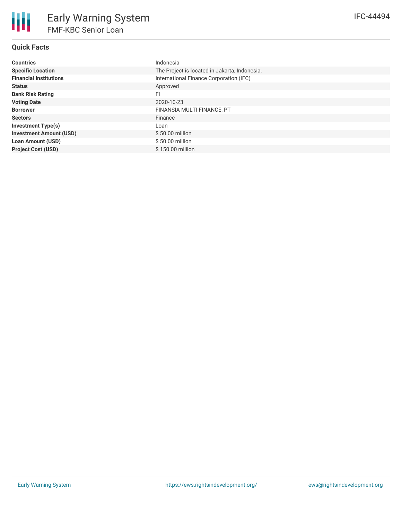# **Quick Facts**

| <b>Countries</b>               | Indonesia                                     |
|--------------------------------|-----------------------------------------------|
| <b>Specific Location</b>       | The Project is located in Jakarta, Indonesia. |
| <b>Financial Institutions</b>  | International Finance Corporation (IFC)       |
| <b>Status</b>                  | Approved                                      |
| <b>Bank Risk Rating</b>        | FI                                            |
| <b>Voting Date</b>             | 2020-10-23                                    |
| <b>Borrower</b>                | FINANSIA MULTI FINANCE, PT                    |
| <b>Sectors</b>                 | Finance                                       |
| Investment Type(s)             | Loan                                          |
| <b>Investment Amount (USD)</b> | $$50.00$ million                              |
| <b>Loan Amount (USD)</b>       | $$50.00$ million                              |
| <b>Project Cost (USD)</b>      | \$150.00 million                              |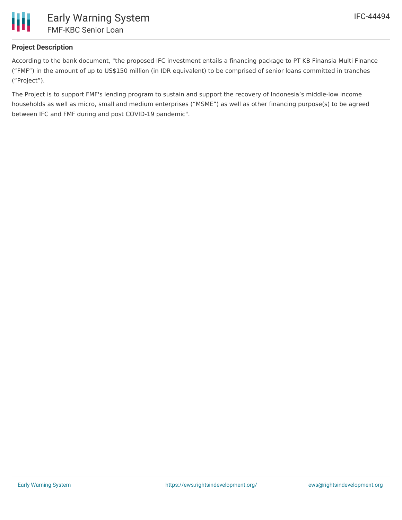

# **Project Description**

According to the bank document, "the proposed IFC investment entails a financing package to PT KB Finansia Multi Finance ("FMF") in the amount of up to US\$150 million (in IDR equivalent) to be comprised of senior loans committed in tranches ("Project").

The Project is to support FMF's lending program to sustain and support the recovery of Indonesia's middle-low income households as well as micro, small and medium enterprises ("MSME") as well as other financing purpose(s) to be agreed between IFC and FMF during and post COVID-19 pandemic".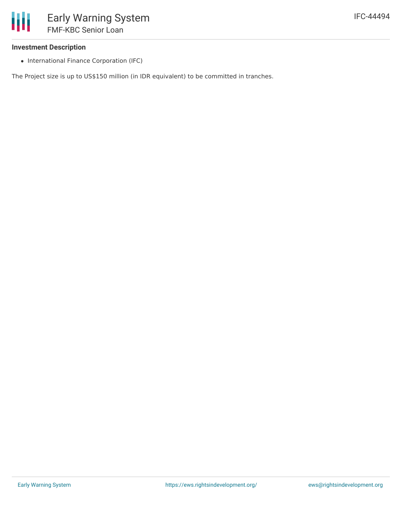### **Investment Description**

• International Finance Corporation (IFC)

The Project size is up to US\$150 million (in IDR equivalent) to be committed in tranches.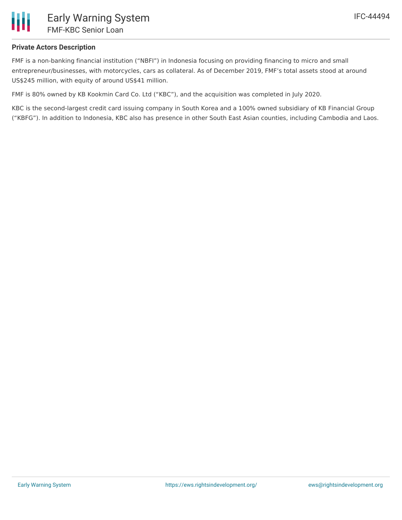

## **Private Actors Description**

FMF is a non-banking financial institution ("NBFI") in Indonesia focusing on providing financing to micro and small entrepreneur/businesses, with motorcycles, cars as collateral. As of December 2019, FMF's total assets stood at around US\$245 million, with equity of around US\$41 million.

FMF is 80% owned by KB Kookmin Card Co. Ltd ("KBC"), and the acquisition was completed in July 2020.

KBC is the second-largest credit card issuing company in South Korea and a 100% owned subsidiary of KB Financial Group ("KBFG"). In addition to Indonesia, KBC also has presence in other South East Asian counties, including Cambodia and Laos.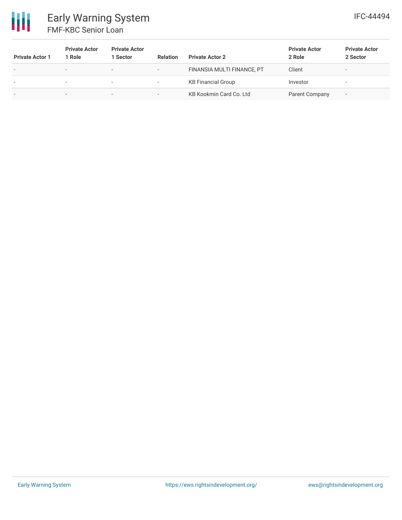

| <b>Private Actor 1</b>   | <b>Private Actor</b><br>1 Role | <b>Private Actor</b><br>Sector | <b>Relation</b>          | <b>Private Actor 2</b>     | <b>Private Actor</b><br>2 Role | <b>Private Actor</b><br>2 Sector |
|--------------------------|--------------------------------|--------------------------------|--------------------------|----------------------------|--------------------------------|----------------------------------|
| $\overline{\phantom{a}}$ | $\overline{\phantom{0}}$       |                                | $\overline{\phantom{a}}$ | FINANSIA MULTI FINANCE, PT | Client                         |                                  |
| $\,$                     | $\overline{\phantom{a}}$       |                                | $\overline{\phantom{a}}$ | <b>KB Financial Group</b>  | Investor                       | -                                |
| $\,$                     | $\overline{\phantom{a}}$       | -                              |                          | KB Kookmin Card Co. Ltd    | Parent Company                 | $\overline{\phantom{a}}$         |